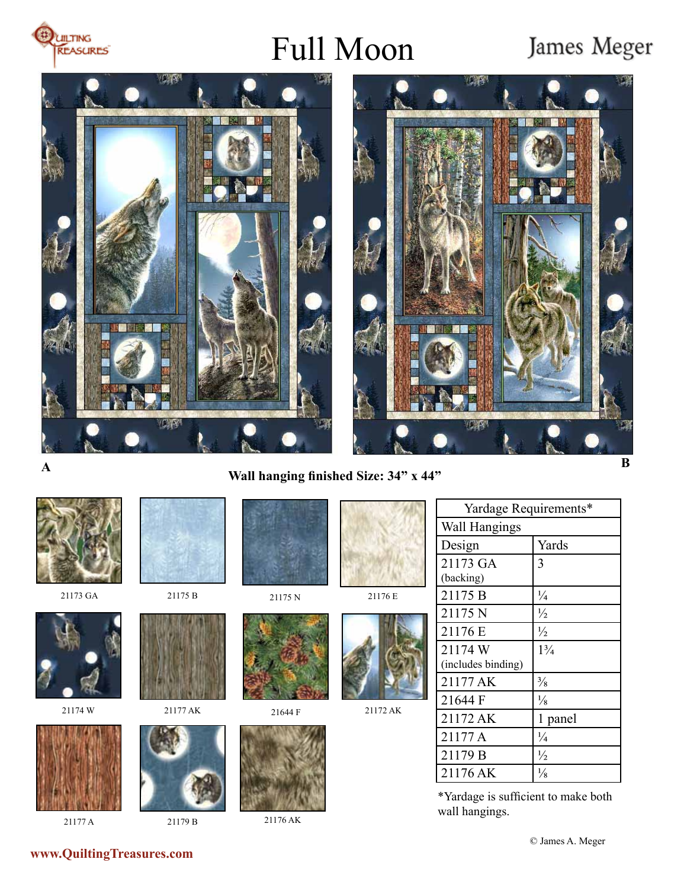

## Full Moon

### James Meger





**Wall hanging finished Size: 34" x 44" A B** 



21177 A



21179 B



21176 AK

 $21172 \text{ AK}$  | 1 panel 21177 A  $\frac{1}{4}$ 21179 B  $\frac{1}{2}$  $21176$  AK  $\frac{1}{8}$ 

\*Yardage is sufficient to make both wall hangings.

**www.QuiltingTreasures.com**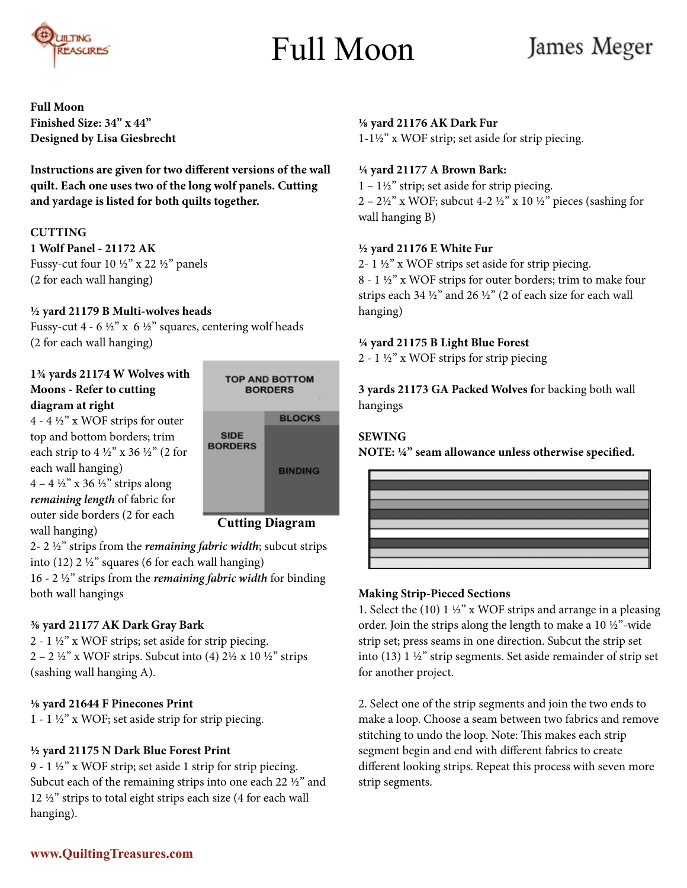

## Full Moon

### James Meger

**Full Moon Finished Size: 34" x 44" Designed by Lisa Giesbrecht**

**Instructions are given for two different versions of the wall quilt. Each one uses two of the long wolf panels. Cutting and yardage is listed for both quilts together.**

#### **CUTTING**

**1 Wolf Panel - 21172 AK** Fussy-cut four 10 ½" x 22 ½" panels (2 for each wall hanging)

#### **½ yard 21179 B Multi-wolves heads**

Fussy-cut 4 - 6  $\frac{1}{2}$ " x 6  $\frac{1}{2}$ " squares, centering wolf heads (2 for each wall hanging)

#### **1¾ yards 21174 W Wolves with Moons - Refer to cutting diagram at right**

4 - 4 ½" x WOF strips for outer top and bottom borders; trim each strip to 4  $\frac{1}{2}$ " x 36  $\frac{1}{2}$ " (2 for each wall hanging)  $4 - 4 \frac{1}{2}$ " x 36  $\frac{1}{2}$ " strips along *remaining length* of fabric for outer side borders (2 for each wall hanging)



2- 2 ½" strips from the *remaining fabric width*; subcut strips into (12) 2 ½" squares (6 for each wall hanging)

16 - 2 ½" strips from the *remaining fabric width* for binding both wall hangings

#### **⅜ yard 21177 AK Dark Gray Bark**

2 - 1 ½" x WOF strips; set aside for strip piecing.  $2 - 2 \frac{1}{2}$ " x WOF strips. Subcut into (4)  $2\frac{1}{2}$  x 10  $\frac{1}{2}$ " strips (sashing wall hanging A).

#### **⅛ yard 21644 F Pinecones Print**

1 - 1 ½" x WOF; set aside strip for strip piecing.

#### **½ yard 21175 N Dark Blue Forest Print**

9 - 1 ½" x WOF strip; set aside 1 strip for strip piecing. Subcut each of the remaining strips into one each 22 ½" and 12 ½" strips to total eight strips each size (4 for each wall hanging).

#### **⅛ yard 21176 AK Dark Fur**

1-1½" x WOF strip; set aside for strip piecing.

#### **¼ yard 21177 A Brown Bark:**

 $1 - 1\frac{1}{2}$ " strip; set aside for strip piecing. 2 – 2½" x WOF; subcut 4-2 ½" x 10 ½" pieces (sashing for wall hanging B)

#### **½ yard 21176 E White Fur**

2- 1 ½" x WOF strips set aside for strip piecing. 8 - 1 ½" x WOF strips for outer borders; trim to make four strips each 34 ½" and 26 ½" (2 of each size for each wall hanging)

#### **¼ yard 21175 B Light Blue Forest**

2 - 1 ½" x WOF strips for strip piecing

**3 yards 21173 GA Packed Wolves f**or backing both wall hangings

#### **SEWING**

**NOTE: ¼" seam allowance unless otherwise specified.**



#### **Making Strip-Pieced Sections**

1. Select the (10)  $1\frac{1}{2}$ " x WOF strips and arrange in a pleasing order. Join the strips along the length to make a 10 ½"-wide strip set; press seams in one direction. Subcut the strip set into (13) 1 ½" strip segments. Set aside remainder of strip set for another project.

2. Select one of the strip segments and join the two ends to make a loop. Choose a seam between two fabrics and remove stitching to undo the loop. Note: This makes each strip segment begin and end with different fabrics to create different looking strips. Repeat this process with seven more strip segments.